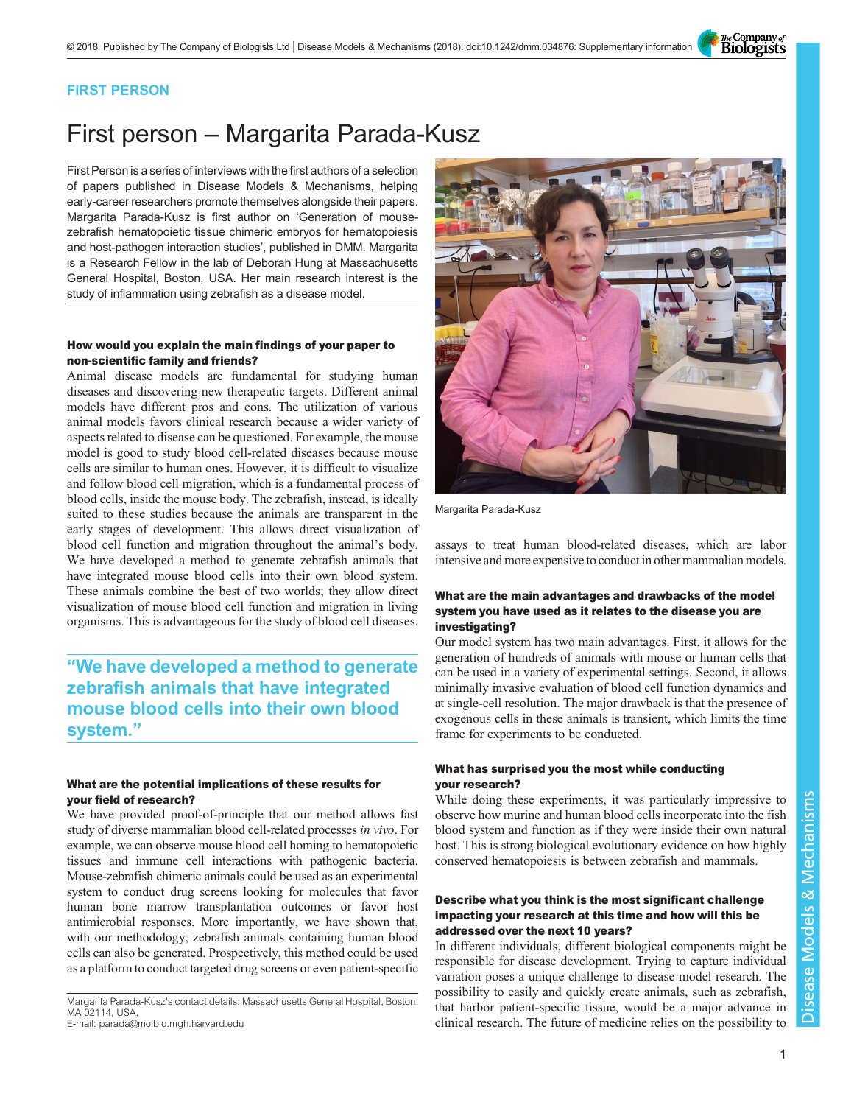The Company of<br>**Biologists** 

# FIRST PERSON

# First person – Margarita Parada-Kusz

First Person is a series of interviews with the first authors of a selection of papers published in Disease Models & Mechanisms, helping early-career researchers promote themselves alongside their papers. Margarita Parada-Kusz is first author on '[Generation of mouse](#page-1-0)[zebrafish hematopoietic tissue chimeric embryos for hematopoiesis](#page-1-0) [and host-pathogen interaction studies](#page-1-0)', published in DMM. Margarita is a Research Fellow in the lab of Deborah Hung at Massachusetts General Hospital, Boston, USA. Her main research interest is the study of inflammation using zebrafish as a disease model.

#### How would you explain the main findings of your paper to non-scientific family and friends?

Animal disease models are fundamental for studying human diseases and discovering new therapeutic targets. Different animal models have different pros and cons. The utilization of various animal models favors clinical research because a wider variety of aspects related to disease can be questioned. For example, the mouse model is good to study blood cell-related diseases because mouse cells are similar to human ones. However, it is difficult to visualize and follow blood cell migration, which is a fundamental process of blood cells, inside the mouse body. The zebrafish, instead, is ideally suited to these studies because the animals are transparent in the early stages of development. This allows direct visualization of blood cell function and migration throughout the animal's body. We have developed a method to generate zebrafish animals that have integrated mouse blood cells into their own blood system. These animals combine the best of two worlds; they allow direct visualization of mouse blood cell function and migration in living organisms. This is advantageous for the study of blood cell diseases.

"We have developed a method to generate zebrafish animals that have integrated mouse blood cells into their own blood system."

### What are the potential implications of these results for your field of research?

We have provided proof-of-principle that our method allows fast study of diverse mammalian blood cell-related processes in vivo. For example, we can observe mouse blood cell homing to hematopoietic tissues and immune cell interactions with pathogenic bacteria. Mouse-zebrafish chimeric animals could be used as an experimental system to conduct drug screens looking for molecules that favor human bone marrow transplantation outcomes or favor host antimicrobial responses. More importantly, we have shown that, with our methodology, zebrafish animals containing human blood cells can also be generated. Prospectively, this method could be used as a platform to conduct targeted drug screens or even patient-specific

Margarita Parada-Kusz's contact details: Massachusetts General Hospital, Boston, MA 02114, USA.

E-mail: [parada@molbio.mgh.harvard.edu](mailto:parada@molbio.mgh.harvard.edu)



Margarita Parada-Kusz

assays to treat human blood-related diseases, which are labor intensive and more expensive to conduct in other mammalian models.

# What are the main advantages and drawbacks of the model system you have used as it relates to the disease you are investigating?

Our model system has two main advantages. First, it allows for the generation of hundreds of animals with mouse or human cells that can be used in a variety of experimental settings. Second, it allows minimally invasive evaluation of blood cell function dynamics and at single-cell resolution. The major drawback is that the presence of exogenous cells in these animals is transient, which limits the time frame for experiments to be conducted.

# What has surprised you the most while conducting your research?

While doing these experiments, it was particularly impressive to observe how murine and human blood cells incorporate into the fish blood system and function as if they were inside their own natural host. This is strong biological evolutionary evidence on how highly conserved hematopoiesis is between zebrafish and mammals.

## Describe what you think is the most significant challenge impacting your research at this time and how will this be addressed over the next 10 years?

In different individuals, different biological components might be responsible for disease development. Trying to capture individual variation poses a unique challenge to disease model research. The possibility to easily and quickly create animals, such as zebrafish, that harbor patient-specific tissue, would be a major advance in clinical research. The future of medicine relies on the possibility to